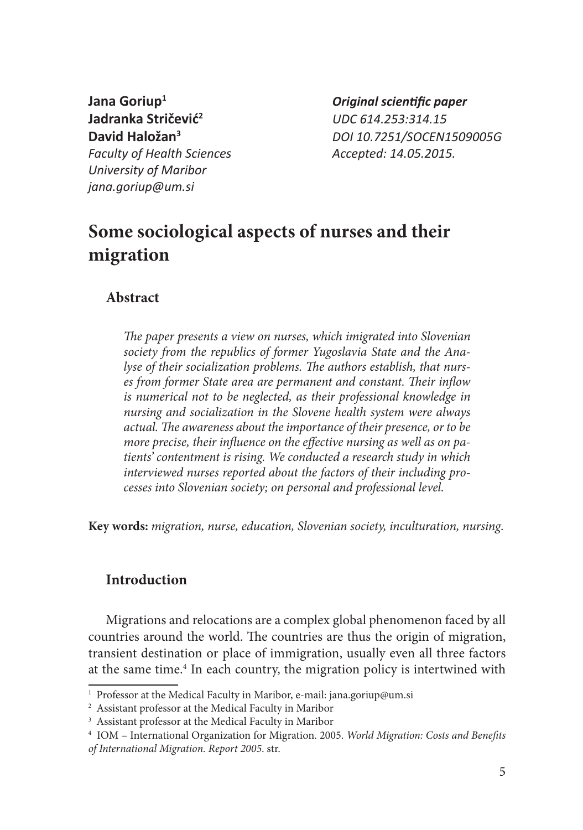**Jadranka Stričević<sup>2</sup>** *UDC 614.253:314.15 Faculty of Health Sciences Accepted: 14.05.2015. University of Maribor jana.goriup@um.si*

**Jana Goriup1** *Original scientific paper* **David Haložan<sup>3</sup>** *DOI 10.7251/SOCEN1509005G*

# **Some sociological aspects of nurses and their migration**

# **Abstract**

*The paper presents a view on nurses, which imigrated into Slovenian society from the republics of former Yugoslavia State and the Analyse of their socialization problems. The authors establish, that nurses from former State area are permanent and constant. Their inflow is numerical not to be neglected, as their professional knowledge in nursing and socialization in the Slovene health system were always actual. The awareness about the importance of their presence, or to be more precise, their influence on the effective nursing as well as on patients' contentment is rising. We conducted a research study in which interviewed nurses reported about the factors of their including processes into Slovenian society; on personal and professional level.*

**Key words:** *migration, nurse, education, Slovenian society, inculturation, nursing*.

# **Introduction**

Migrations and relocations are a complex global phenomenon faced by all countries around the world. The countries are thus the origin of migration, transient destination or place of immigration, usually even all three factors at the same time.<sup>4</sup> In each country, the migration policy is intertwined with

<sup>&</sup>lt;sup>1</sup> Professor at the Medical Faculty in Maribor, e-mail: jana.goriup@um.si

<sup>2</sup> Assistant professor at the Medical Faculty in Maribor

<sup>3</sup> Assistant professor at the Medical Faculty in Maribor

<sup>4</sup> IOM – International Organization for Migration. 2005. *World Migration: Costs and Benefits of International Migration. Report 2005*. str.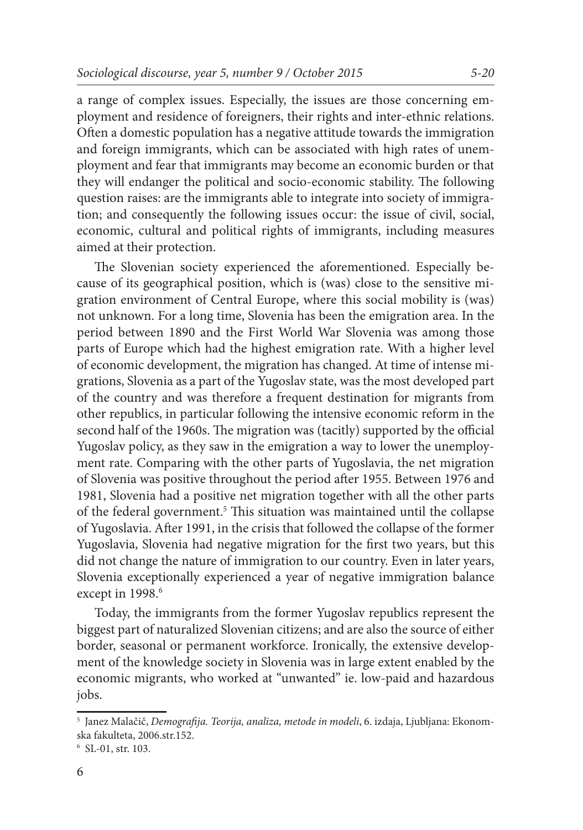a range of complex issues. Especially, the issues are those concerning employment and residence of foreigners, their rights and inter-ethnic relations. Often a domestic population has a negative attitude towards the immigration and foreign immigrants, which can be associated with high rates of unemployment and fear that immigrants may become an economic burden or that they will endanger the political and socio-economic stability. The following question raises: are the immigrants able to integrate into society of immigration; and consequently the following issues occur: the issue of civil, social, economic, cultural and political rights of immigrants, including measures aimed at their protection.

The Slovenian society experienced the aforementioned. Especially because of its geographical position, which is (was) close to the sensitive migration environment of Central Europe, where this social mobility is (was) not unknown. For a long time, Slovenia has been the emigration area. In the period between 1890 and the First World War Slovenia was among those parts of Europe which had the highest emigration rate. With a higher level of economic development, the migration has changed. At time of intense migrations, Slovenia as a part of the Yugoslav state, was the most developed part of the country and was therefore a frequent destination for migrants from other republics, in particular following the intensive economic reform in the second half of the 1960s. The migration was (tacitly) supported by the official Yugoslav policy, as they saw in the emigration a way to lower the unemployment rate. Comparing with the other parts of Yugoslavia, the net migration of Slovenia was positive throughout the period after 1955. Between 1976 and 1981, Slovenia had a positive net migration together with all the other parts of the federal government.<sup>5</sup> This situation was maintained until the collapse of Yugoslavia. After 1991, in the crisis that followed the collapse of the former Yugoslavia, Slovenia had negative migration for the first two years, but this did not change the nature of immigration to our country. Even in later years, Slovenia exceptionally experienced a year of negative immigration balance except in 1998.<sup>6</sup>

Today, the immigrants from the former Yugoslav republics represent the biggest part of naturalized Slovenian citizens; and are also the source of either border, seasonal or permanent workforce. Ironically, the extensive development of the knowledge society in Slovenia was in large extent enabled by the economic migrants, who worked at "unwanted" ie. low-paid and hazardous jobs.

<sup>5</sup> Janez Malačič, *Demografija. Teorija, analiza, metode in modeli*, 6. izdaja, Ljubljana: Ekonomska fakulteta, 2006.str.152.

<sup>6</sup> SL-01, str. 103.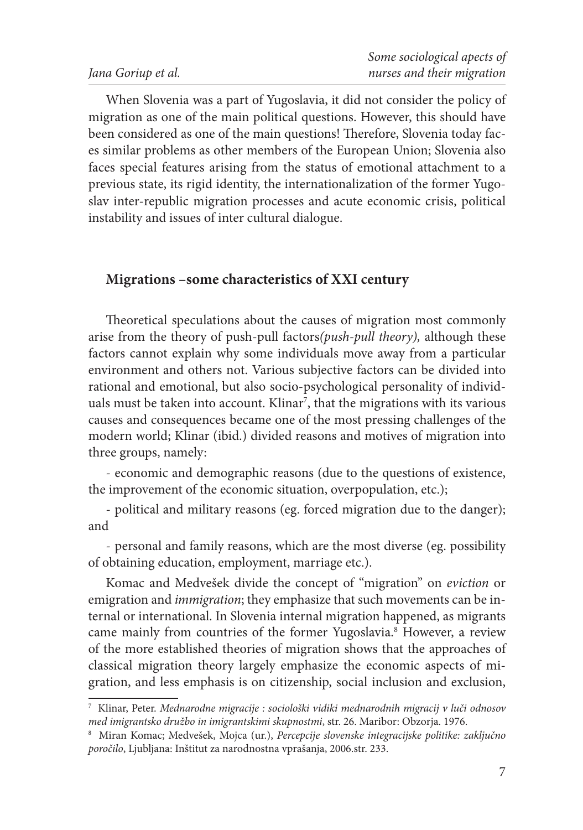When Slovenia was a part of Yugoslavia, it did not consider the policy of migration as one of the main political questions. However, this should have been considered as one of the main questions! Therefore, Slovenia today faces similar problems as other members of the European Union; Slovenia also faces special features arising from the status of emotional attachment to a previous state, its rigid identity, the internationalization of the former Yugoslav inter-republic migration processes and acute economic crisis, political instability and issues of inter cultural dialogue.

# **Migrations –some characteristics of XXI century**

Theoretical speculations about the causes of migration most commonly arise from the theory of push-pull factors*(push-pull theory),* although these factors cannot explain why some individuals move away from a particular environment and others not. Various subjective factors can be divided into rational and emotional, but also socio-psychological personality of individuals must be taken into account. Klinar<sup>7</sup>, that the migrations with its various causes and consequences became one of the most pressing challenges of the modern world; Klinar (ibid.) divided reasons and motives of migration into three groups, namely:

- economic and demographic reasons (due to the questions of existence, the improvement of the economic situation, overpopulation, etc.);

- political and military reasons (eg. forced migration due to the danger); and

- personal and family reasons, which are the most diverse (eg. possibility of obtaining education, employment, marriage etc.).

Komac and Medvešek divide the concept of "migration" on *eviction* or emigration and *immigration*; they emphasize that such movements can be internal or international. In Slovenia internal migration happened, as migrants came mainly from countries of the former Yugoslavia.<sup>8</sup> However, a review of the more established theories of migration shows that the approaches of classical migration theory largely emphasize the economic aspects of migration, and less emphasis is on citizenship, social inclusion and exclusion,

<sup>7</sup> Klinar, Peter. *Mednarodne migracije : sociološki vidiki mednarodnih migracij v luči odnosov med imigrantsko družbo in imigrantskimi skupnostmi*, str. 26. Maribor: Obzorja. 1976. 8

Miran Komac; Medvešek, Mojca (ur.), *Percepcije slovenske integracijske politike: zaključno poročilo*, Ljubljana: Inštitut za narodnostna vprašanja, 2006.str. 233.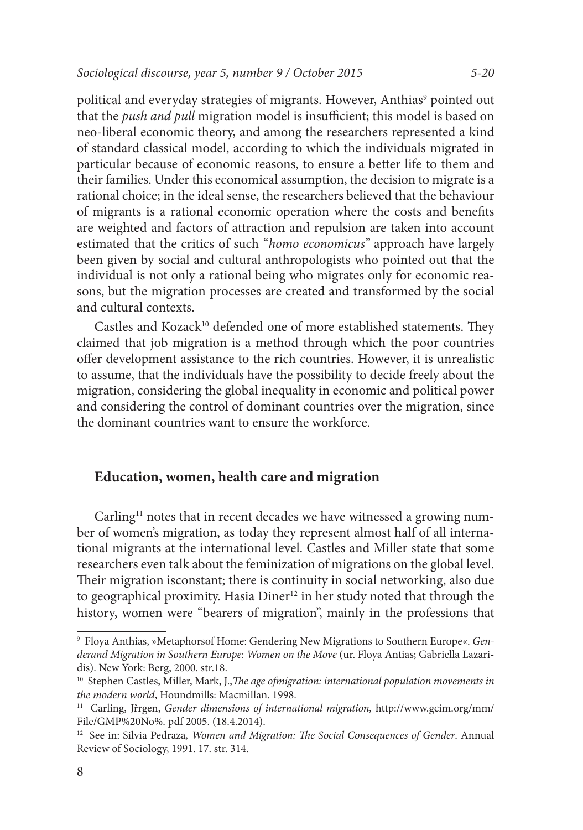political and everyday strategies of migrants. However, Anthias<sup>9</sup> pointed out that the *push and pull* migration model is insufficient; this model is based on neo-liberal economic theory, and among the researchers represented a kind of standard classical model, according to which the individuals migrated in particular because of economic reasons, to ensure a better life to them and their families. Under this economical assumption, the decision to migrate is a rational choice; in the ideal sense, the researchers believed that the behaviour

of migrants is a rational economic operation where the costs and benefits are weighted and factors of attraction and repulsion are taken into account estimated that the critics of such "*homo economicus"* approach have largely been given by social and cultural anthropologists who pointed out that the individual is not only a rational being who migrates only for economic reasons, but the migration processes are created and transformed by the social and cultural contexts.

Castles and Kozack<sup>10</sup> defended one of more established statements. They claimed that job migration is a method through which the poor countries offer development assistance to the rich countries. However, it is unrealistic to assume, that the individuals have the possibility to decide freely about the migration, considering the global inequality in economic and political power and considering the control of dominant countries over the migration, since the dominant countries want to ensure the workforce.

### **Education, women, health care and migration**

Carling<sup>11</sup> notes that in recent decades we have witnessed a growing number of women's migration, as today they represent almost half of all international migrants at the international level. Castles and Miller state that some researchers even talk about the feminization of migrations on the global level. Their migration isconstant; there is continuity in social networking, also due to geographical proximity. Hasia Diner<sup>12</sup> in her study noted that through the history, women were "bearers of migration", mainly in the professions that

<sup>9</sup> Floya Anthias, »Metaphorsof Home: Gendering New Migrations to Southern Europe«. *Genderand Migration in Southern Europe: Women on the Move* (ur. Floya Antias; Gabriella Lazaridis). New York: Berg, 2000. str.18.

<sup>10</sup> Stephen Castles, Miller, Mark, J.,*The age ofmigration: international population movements in the modern world*, Houndmills: Macmillan. 1998.

<sup>11</sup> Carling, Jřrgen, *Gender dimensions of international migration,* http://www.gcim.org/mm/ File/GMP%20No%. pdf 2005. (18.4.2014).

<sup>12</sup> See in: Silvia Pedraza*, Women and Migration: The Social Consequences of Gender*. Annual Review of Sociology, 1991. 17. str. 314.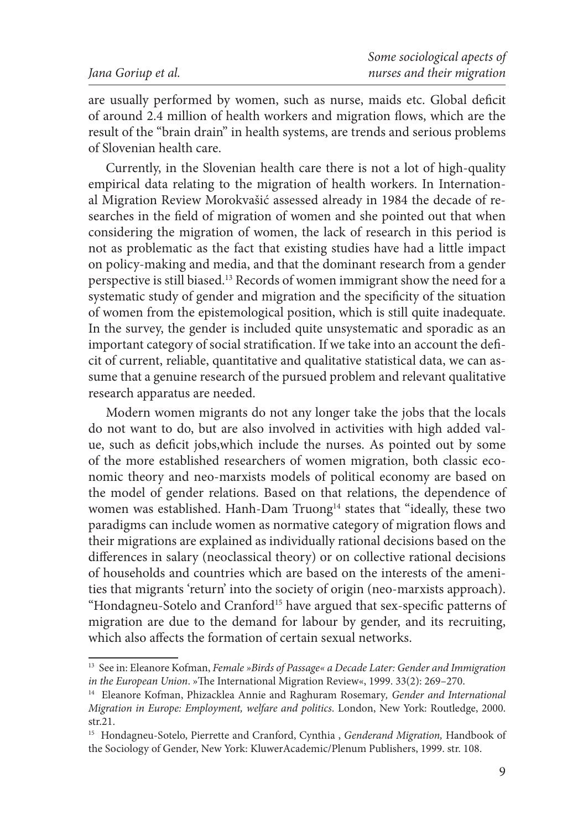are usually performed by women, such as nurse, maids etc. Global deficit of around 2.4 million of health workers and migration flows, which are the result of the "brain drain" in health systems, are trends and serious problems of Slovenian health care.

Currently, in the Slovenian health care there is not a lot of high-quality empirical data relating to the migration of health workers. In International Migration Review Morokvašić assessed already in 1984 the decade of researches in the field of migration of women and she pointed out that when considering the migration of women, the lack of research in this period is not as problematic as the fact that existing studies have had a little impact on policy-making and media, and that the dominant research from a gender perspective is still biased.13 Records of women immigrant show the need for a systematic study of gender and migration and the specificity of the situation of women from the epistemological position, which is still quite inadequate. In the survey, the gender is included quite unsystematic and sporadic as an important category of social stratification. If we take into an account the deficit of current, reliable, quantitative and qualitative statistical data, we can assume that a genuine research of the pursued problem and relevant qualitative research apparatus are needed.

Modern women migrants do not any longer take the jobs that the locals do not want to do, but are also involved in activities with high added value, such as deficit jobs,which include the nurses. As pointed out by some of the more established researchers of women migration, both classic economic theory and neo-marxists models of political economy are based on the model of gender relations. Based on that relations, the dependence of women was established. Hanh-Dam Truong<sup>14</sup> states that "ideally, these two paradigms can include women as normative category of migration flows and their migrations are explained as individually rational decisions based on the differences in salary (neoclassical theory) or on collective rational decisions of households and countries which are based on the interests of the amenities that migrants 'return' into the society of origin (neo-marxists approach). "Hondagneu-Sotelo and Cranford15 have argued that sex-specific patterns of migration are due to the demand for labour by gender, and its recruiting, which also affects the formation of certain sexual networks.

<sup>13</sup> See in: Eleanore Kofman, *Female »Birds of Passage« a Decade Later: Gender and Immigration in the European Union*. »The International Migration Review«, 1999. 33(2): 269–270.

<sup>14</sup> Eleanore Kofman, Phizacklea Annie and Raghuram Rosemary*, Gender and International Migration in Europe: Employment, welfare and politics*. London, New York: Routledge, 2000. str.21.

<sup>15</sup> Hondagneu-Sotelo, Pierrette and Cranford, Cynthia , *Genderand Migration,* Handbook of the Sociology of Gender, New York: KluwerAcademic/Plenum Publishers, 1999. str. 108.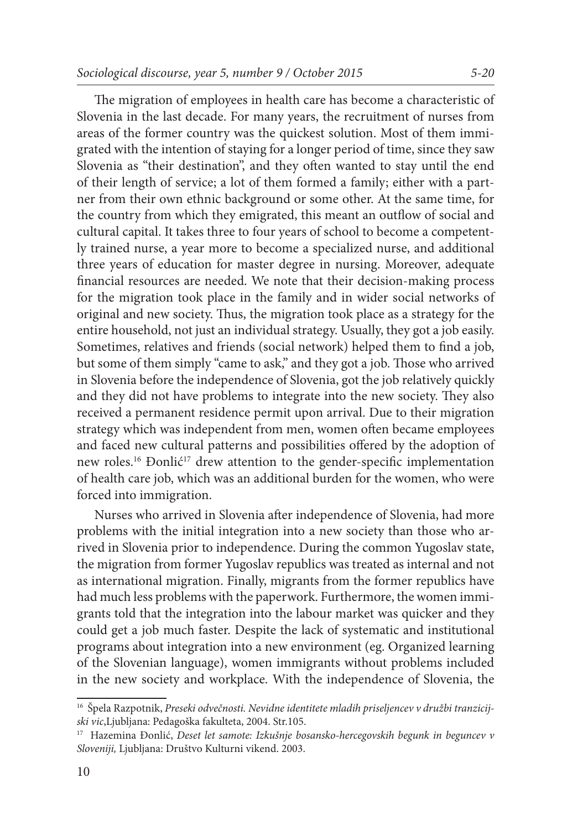The migration of employees in health care has become a characteristic of Slovenia in the last decade. For many years, the recruitment of nurses from areas of the former country was the quickest solution. Most of them immigrated with the intention of staying for a longer period of time, since they saw Slovenia as "their destination", and they often wanted to stay until the end of their length of service; a lot of them formed a family; either with a partner from their own ethnic background or some other. At the same time, for the country from which they emigrated, this meant an outflow of social and cultural capital. It takes three to four years of school to become a competent-

ly trained nurse, a year more to become a specialized nurse, and additional three years of education for master degree in nursing. Moreover, adequate financial resources are needed. We note that their decision-making process for the migration took place in the family and in wider social networks of original and new society. Thus, the migration took place as a strategy for the entire household, not just an individual strategy. Usually, they got a job easily. Sometimes, relatives and friends (social network) helped them to find a job, but some of them simply "came to ask," and they got a job. Those who arrived in Slovenia before the independence of Slovenia, got the job relatively quickly and they did not have problems to integrate into the new society. They also received a permanent residence permit upon arrival. Due to their migration strategy which was independent from men, women often became employees and faced new cultural patterns and possibilities offered by the adoption of new roles.<sup>16</sup> Đonlić<sup>17</sup> drew attention to the gender-specific implementation of health care job, which was an additional burden for the women, who were forced into immigration.

Nurses who arrived in Slovenia after independence of Slovenia, had more problems with the initial integration into a new society than those who arrived in Slovenia prior to independence. During the common Yugoslav state, the migration from former Yugoslav republics was treated as internal and not as international migration. Finally, migrants from the former republics have had much less problems with the paperwork. Furthermore, the women immigrants told that the integration into the labour market was quicker and they could get a job much faster. Despite the lack of systematic and institutional programs about integration into a new environment (eg. Organized learning of the Slovenian language), women immigrants without problems included in the new society and workplace. With the independence of Slovenia, the

<sup>16</sup> Špela Razpotnik, *Preseki odvečnosti. Nevidne identitete mladih priseljencev v družbi tranzicijski vic*,Ljubljana: Pedagoška fakulteta, 2004. Str.105.

<sup>17</sup> Hazemina Đonlić, *Deset let samote: Izkušnje bosansko-hercegovskih begunk in beguncev v Sloveniji,* Ljubljana: Društvo Kulturni vikend. 2003.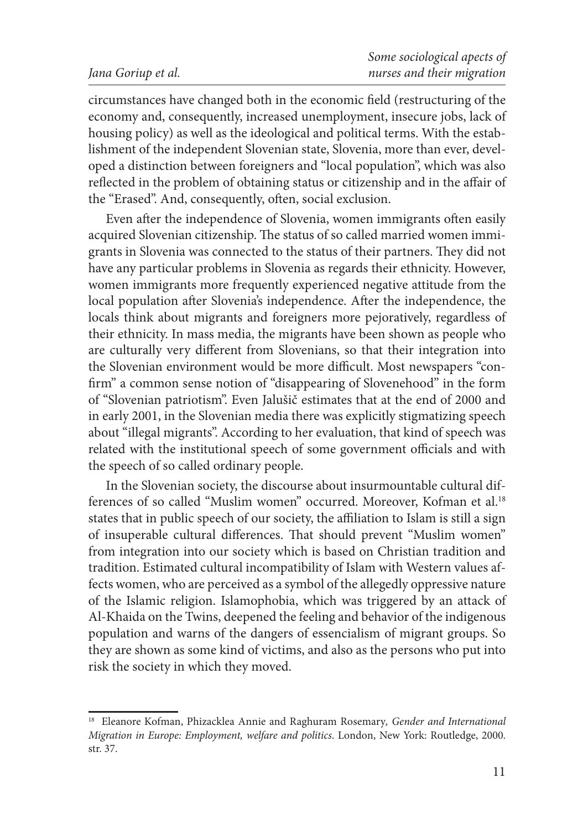circumstances have changed both in the economic field (restructuring of the economy and, consequently, increased unemployment, insecure jobs, lack of housing policy) as well as the ideological and political terms. With the establishment of the independent Slovenian state, Slovenia, more than ever, developed a distinction between foreigners and "local population", which was also reflected in the problem of obtaining status or citizenship and in the affair of the "Erased". And, consequently, often, social exclusion.

Even after the independence of Slovenia, women immigrants often easily acquired Slovenian citizenship. The status of so called married women immigrants in Slovenia was connected to the status of their partners. They did not have any particular problems in Slovenia as regards their ethnicity. However, women immigrants more frequently experienced negative attitude from the local population after Slovenia's independence. After the independence, the locals think about migrants and foreigners more pejoratively, regardless of their ethnicity. In mass media, the migrants have been shown as people who are culturally very different from Slovenians, so that their integration into the Slovenian environment would be more difficult. Most newspapers "confirm" a common sense notion of "disappearing of Slovenehood" in the form of "Slovenian patriotism". Even Jalušič estimates that at the end of 2000 and in early 2001, in the Slovenian media there was explicitly stigmatizing speech about "illegal migrants". According to her evaluation, that kind of speech was related with the institutional speech of some government officials and with the speech of so called ordinary people.

In the Slovenian society, the discourse about insurmountable cultural differences of so called "Muslim women" occurred. Moreover, Kofman et al.<sup>18</sup> states that in public speech of our society, the affiliation to Islam is still a sign of insuperable cultural differences. That should prevent "Muslim women" from integration into our society which is based on Christian tradition and tradition. Estimated cultural incompatibility of Islam with Western values affects women, who are perceived as a symbol of the allegedly oppressive nature of the Islamic religion. Islamophobia, which was triggered by an attack of Al-Khaida on the Twins, deepened the feeling and behavior of the indigenous population and warns of the dangers of essencialism of migrant groups. So they are shown as some kind of victims, and also as the persons who put into risk the society in which they moved.

<sup>18</sup> Eleanore Kofman, Phizacklea Annie and Raghuram Rosemary*, Gender and International Migration in Europe: Employment, welfare and politics*. London, New York: Routledge, 2000. str. 37.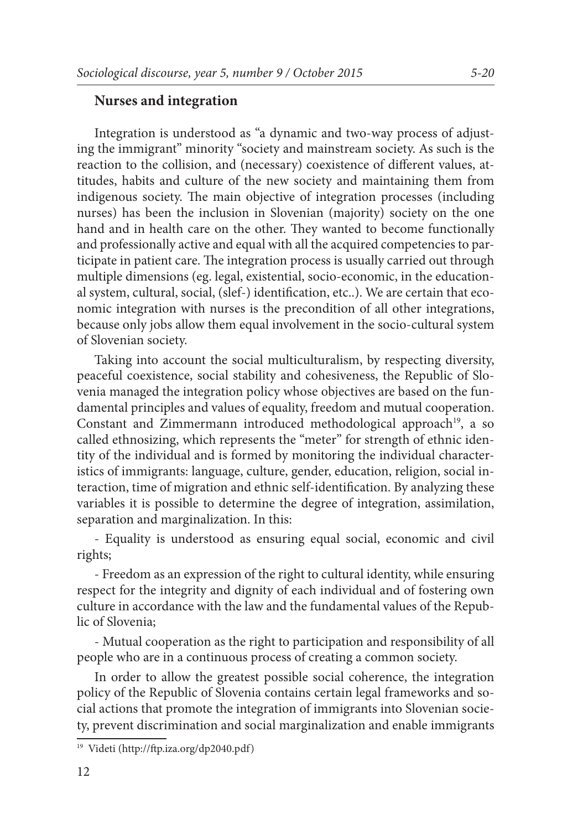### **Nurses and integration**

Integration is understood as "a dynamic and two-way process of adjusting the immigrant" minority "society and mainstream society. As such is the reaction to the collision, and (necessary) coexistence of different values, attitudes, habits and culture of the new society and maintaining them from indigenous society. The main objective of integration processes (including nurses) has been the inclusion in Slovenian (majority) society on the one hand and in health care on the other. They wanted to become functionally and professionally active and equal with all the acquired competencies to participate in patient care. The integration process is usually carried out through multiple dimensions (eg. legal, existential, socio-economic, in the educational system, cultural, social, (slef-) identification, etc..). We are certain that economic integration with nurses is the precondition of all other integrations, because only jobs allow them equal involvement in the socio-cultural system of Slovenian society.

Taking into account the social multiculturalism, by respecting diversity, peaceful coexistence, social stability and cohesiveness, the Republic of Slovenia managed the integration policy whose objectives are based on the fundamental principles and values of equality, freedom and mutual cooperation. Constant and Zimmermann introduced methodological approach<sup>19</sup>, a so called ethnosizing, which represents the "meter" for strength of ethnic identity of the individual and is formed by monitoring the individual characteristics of immigrants: language, culture, gender, education, religion, social interaction, time of migration and ethnic self-identification. By analyzing these variables it is possible to determine the degree of integration, assimilation, separation and marginalization. In this:

- Equality is understood as ensuring equal social, economic and civil rights;

- Freedom as an expression of the right to cultural identity, while ensuring respect for the integrity and dignity of each individual and of fostering own culture in accordance with the law and the fundamental values of the Republic of Slovenia;

- Mutual cooperation as the right to participation and responsibility of all people who are in a continuous process of creating a common society.

In order to allow the greatest possible social coherence, the integration policy of the Republic of Slovenia contains certain legal frameworks and social actions that promote the integration of immigrants into Slovenian society, prevent discrimination and social marginalization and enable immigrants

<sup>19</sup> Videti (http://ftp.iza.org/dp2040.pdf)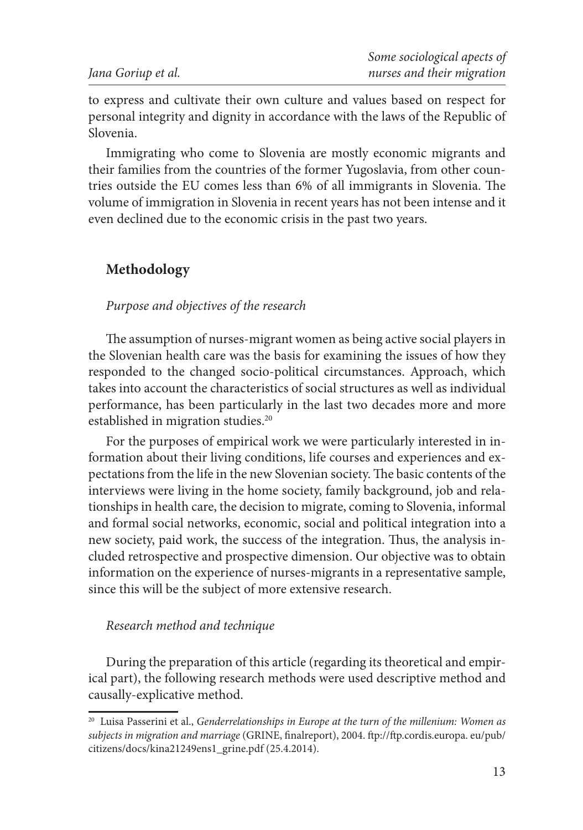to express and cultivate their own culture and values based on respect for personal integrity and dignity in accordance with the laws of the Republic of Slovenia.

Immigrating who come to Slovenia are mostly economic migrants and their families from the countries of the former Yugoslavia, from other countries outside the EU comes less than 6% of all immigrants in Slovenia. The volume of immigration in Slovenia in recent years has not been intense and it even declined due to the economic crisis in the past two years.

### **Methodology**

# *Purpose and objectives of the research*

The assumption of nurses-migrant women as being active social players in the Slovenian health care was the basis for examining the issues of how they responded to the changed socio-political circumstances. Approach, which takes into account the characteristics of social structures as well as individual performance, has been particularly in the last two decades more and more established in migration studies.<sup>20</sup>

For the purposes of empirical work we were particularly interested in information about their living conditions, life courses and experiences and expectations from the life in the new Slovenian society. The basic contents of the interviews were living in the home society, family background, job and relationships in health care, the decision to migrate, coming to Slovenia, informal and formal social networks, economic, social and political integration into a new society, paid work, the success of the integration. Thus, the analysis included retrospective and prospective dimension. Our objective was to obtain information on the experience of nurses-migrants in a representative sample, since this will be the subject of more extensive research.

#### *Research method and technique*

During the preparation of this article (regarding its theoretical and empirical part), the following research methods were used descriptive method and causally-explicative method.

<sup>20</sup> Luisa Passerini et al., *Genderrelationships in Europe at the turn of the millenium: Women as subjects in migration and marriage* (GRINE, finalreport), 2004. ftp://ftp.cordis.europa. eu/pub/ citizens/docs/kina21249ens1\_grine.pdf (25.4.2014).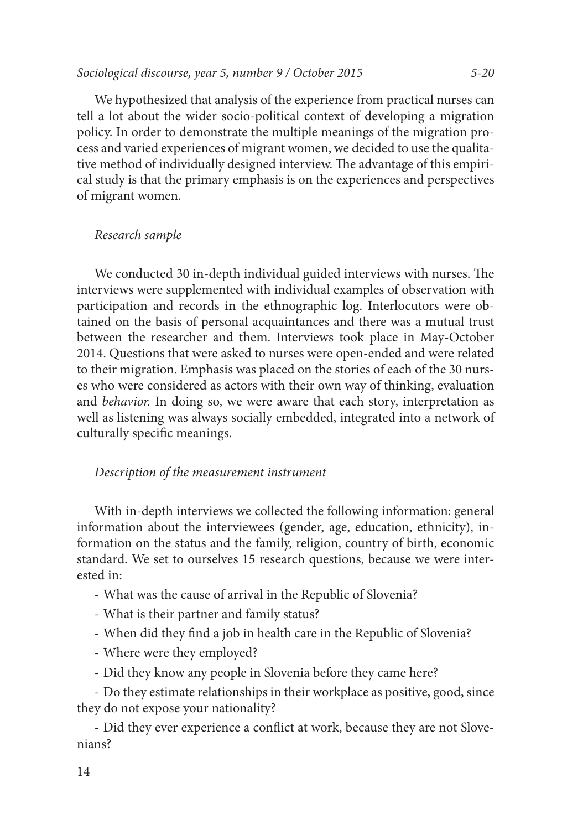We hypothesized that analysis of the experience from practical nurses can tell a lot about the wider socio-political context of developing a migration policy. In order to demonstrate the multiple meanings of the migration process and varied experiences of migrant women, we decided to use the qualitative method of individually designed interview. The advantage of this empirical study is that the primary emphasis is on the experiences and perspectives of migrant women.

### *Research sample*

We conducted 30 in-depth individual guided interviews with nurses. The interviews were supplemented with individual examples of observation with participation and records in the ethnographic log. Interlocutors were obtained on the basis of personal acquaintances and there was a mutual trust between the researcher and them. Interviews took place in May-October 2014. Questions that were asked to nurses were open-ended and were related to their migration. Emphasis was placed on the stories of each of the 30 nurses who were considered as actors with their own way of thinking, evaluation and *behavior.* In doing so, we were aware that each story, interpretation as well as listening was always socially embedded, integrated into a network of culturally specific meanings.

### *Description of the measurement instrument*

With in-depth interviews we collected the following information: general information about the interviewees (gender, age, education, ethnicity), information on the status and the family, religion, country of birth, economic standard. We set to ourselves 15 research questions, because we were interested in:

- What was the cause of arrival in the Republic of Slovenia?
- What is their partner and family status?
- When did they find a job in health care in the Republic of Slovenia?
- Where were they employed?
- Did they know any people in Slovenia before they came here?

- Do they estimate relationships in their workplace as positive, good, since they do not expose your nationality?

- Did they ever experience a conflict at work, because they are not Slovenians?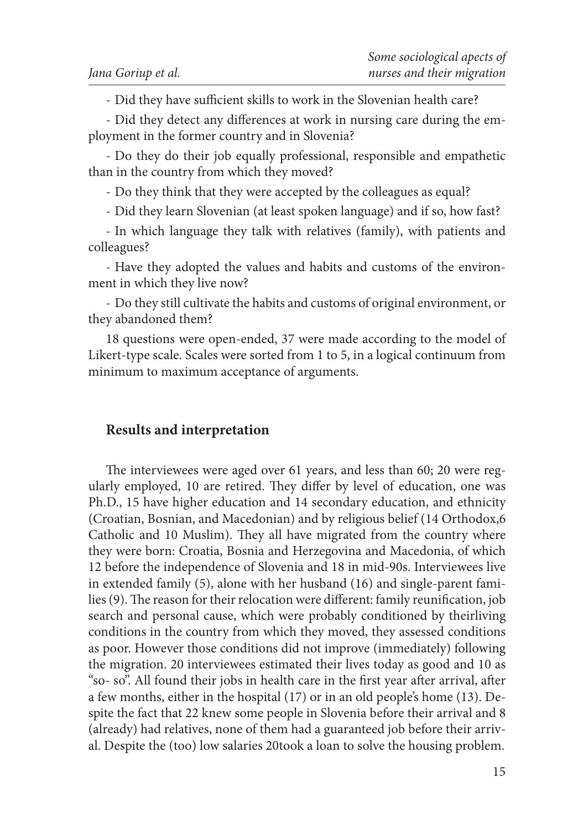- Did they have sufficient skills to work in the Slovenian health care?

- Did they detect any differences at work in nursing care during the employment in the former country and in Slovenia?

- Do they do their job equally professional, responsible and empathetic than in the country from which they moved?

- Do they think that they were accepted by the colleagues as equal?

- Did they learn Slovenian (at least spoken language) and if so, how fast?

- In which language they talk with relatives (family), with patients and colleagues?

- Have they adopted the values and habits and customs of the environment in which they live now?

- Do they still cultivate the habits and customs of original environment, or they abandoned them?

18 questions were open-ended, 37 were made according to the model of Likert-type scale. Scales were sorted from 1 to 5, in a logical continuum from minimum to maximum acceptance of arguments.

### **Results and interpretation**

The interviewees were aged over 61 years, and less than 60; 20 were regularly employed, 10 are retired. They differ by level of education, one was Ph.D., 15 have higher education and 14 secondary education, and ethnicity (Croatian, Bosnian, and Macedonian) and by religious belief (14 Orthodox,6 Catholic and 10 Muslim). They all have migrated from the country where they were born: Croatia, Bosnia and Herzegovina and Macedonia, of which 12 before the independence of Slovenia and 18 in mid-90s. Interviewees live in extended family (5), alone with her husband (16) and single-parent families (9). The reason for their relocation were different: family reunification, job search and personal cause, which were probably conditioned by theirliving conditions in the country from which they moved, they assessed conditions as poor. However those conditions did not improve (immediately) following the migration. 20 interviewees estimated their lives today as good and 10 as "so- so". All found their jobs in health care in the first year after arrival, after a few months, either in the hospital (17) or in an old people's home (13). Despite the fact that 22 knew some people in Slovenia before their arrival and 8 (already) had relatives, none of them had a guaranteed job before their arrival. Despite the (too) low salaries 20took a loan to solve the housing problem.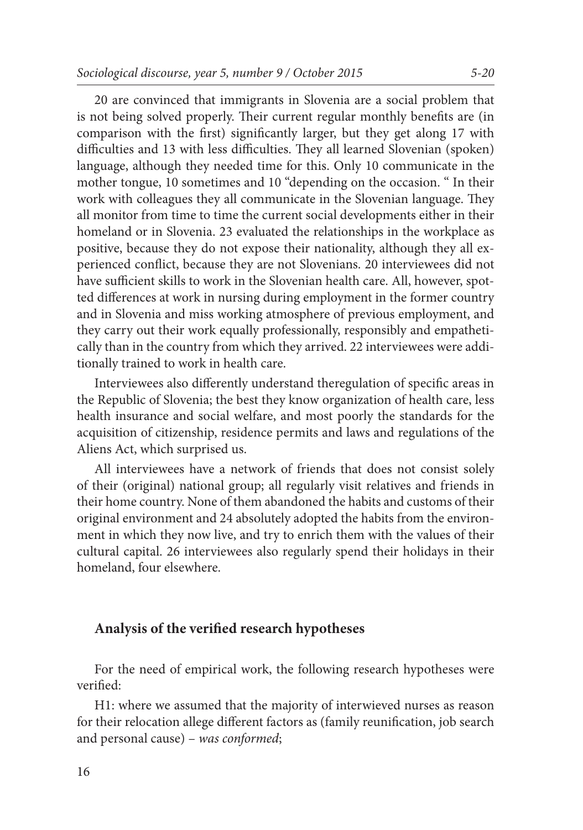20 are convinced that immigrants in Slovenia are a social problem that is not being solved properly. Their current regular monthly benefits are (in comparison with the first) significantly larger, but they get along 17 with difficulties and 13 with less difficulties. They all learned Slovenian (spoken) language, although they needed time for this. Only 10 communicate in the mother tongue, 10 sometimes and 10 "depending on the occasion. " In their work with colleagues they all communicate in the Slovenian language. They all monitor from time to time the current social developments either in their homeland or in Slovenia. 23 evaluated the relationships in the workplace as positive, because they do not expose their nationality, although they all experienced conflict, because they are not Slovenians. 20 interviewees did not have sufficient skills to work in the Slovenian health care. All, however, spotted differences at work in nursing during employment in the former country and in Slovenia and miss working atmosphere of previous employment, and they carry out their work equally professionally, responsibly and empathetically than in the country from which they arrived. 22 interviewees were additionally trained to work in health care.

Interviewees also differently understand theregulation of specific areas in the Republic of Slovenia; the best they know organization of health care, less health insurance and social welfare, and most poorly the standards for the acquisition of citizenship, residence permits and laws and regulations of the Aliens Act, which surprised us.

All interviewees have a network of friends that does not consist solely of their (original) national group; all regularly visit relatives and friends in their home country. None of them abandoned the habits and customs of their original environment and 24 absolutely adopted the habits from the environment in which they now live, and try to enrich them with the values of their cultural capital. 26 interviewees also regularly spend their holidays in their homeland, four elsewhere.

### **Analysis of the verified research hypotheses**

For the need of empirical work, the following research hypotheses were verified:

H1: where we assumed that the majority of interwieved nurses as reason for their relocation allege different factors as (family reunification, job search and personal cause) – *was conformed*;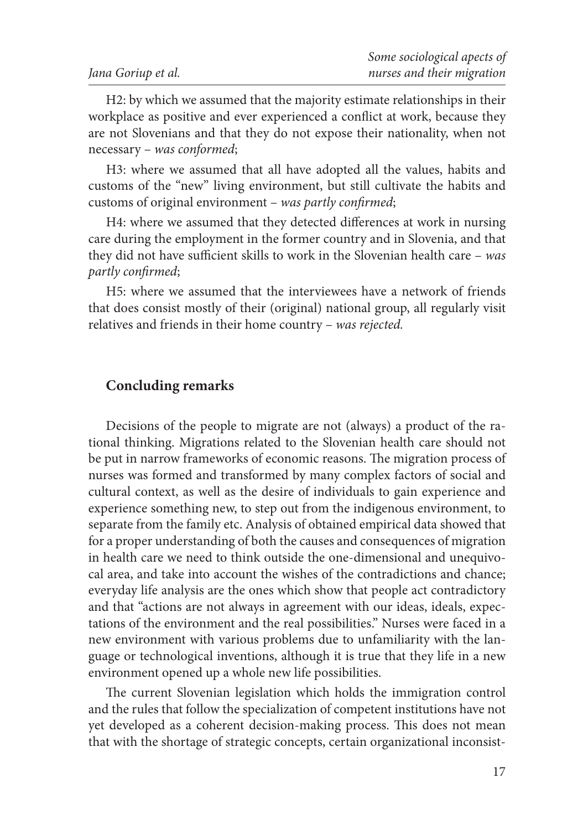H2: by which we assumed that the majority estimate relationships in their workplace as positive and ever experienced a conflict at work, because they are not Slovenians and that they do not expose their nationality, when not necessary – *was conformed*;

H3: where we assumed that all have adopted all the values, habits and customs of the "new" living environment, but still cultivate the habits and customs of original environment – *was partly confirmed*;

H4: where we assumed that they detected differences at work in nursing care during the employment in the former country and in Slovenia, and that they did not have sufficient skills to work in the Slovenian health care – *was partly confirmed*;

H5: where we assumed that the interviewees have a network of friends that does consist mostly of their (original) national group, all regularly visit relatives and friends in their home country – *was rejected.*

# **Concluding remarks**

Decisions of the people to migrate are not (always) a product of the rational thinking. Migrations related to the Slovenian health care should not be put in narrow frameworks of economic reasons. The migration process of nurses was formed and transformed by many complex factors of social and cultural context, as well as the desire of individuals to gain experience and experience something new, to step out from the indigenous environment, to separate from the family etc. Analysis of obtained empirical data showed that for a proper understanding of both the causes and consequences of migration in health care we need to think outside the one-dimensional and unequivocal area, and take into account the wishes of the contradictions and chance; everyday life analysis are the ones which show that people act contradictory and that "actions are not always in agreement with our ideas, ideals, expectations of the environment and the real possibilities." Nurses were faced in a new environment with various problems due to unfamiliarity with the language or technological inventions, although it is true that they life in a new environment opened up a whole new life possibilities.

The current Slovenian legislation which holds the immigration control and the rules that follow the specialization of competent institutions have not yet developed as a coherent decision-making process. This does not mean that with the shortage of strategic concepts, certain organizational inconsist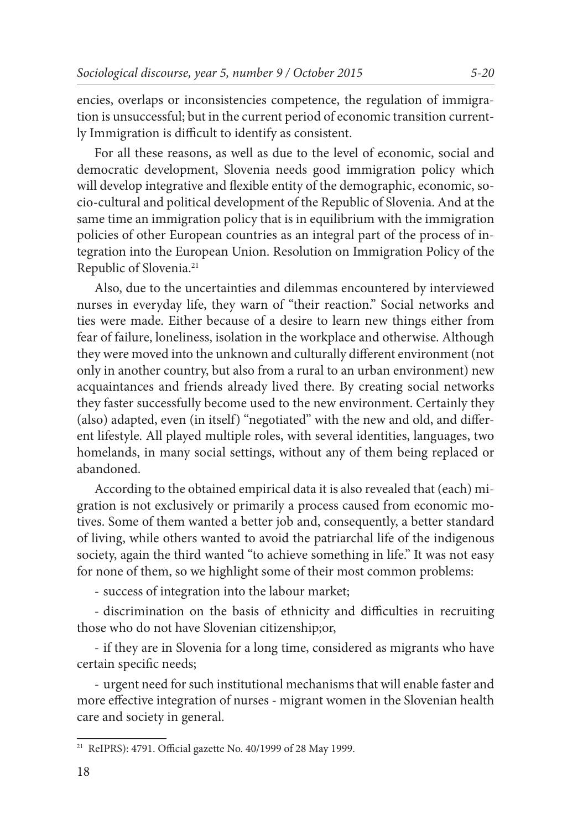encies, overlaps or inconsistencies competence, the regulation of immigration is unsuccessful; but in the current period of economic transition currently Immigration is difficult to identify as consistent.

For all these reasons, as well as due to the level of economic, social and democratic development, Slovenia needs good immigration policy which will develop integrative and flexible entity of the demographic, economic, socio-cultural and political development of the Republic of Slovenia. And at the same time an immigration policy that is in equilibrium with the immigration policies of other European countries as an integral part of the process of integration into the European Union. Resolution on Immigration Policy of the Republic of Slovenia.21

Also, due to the uncertainties and dilemmas encountered by interviewed nurses in everyday life, they warn of "their reaction." Social networks and ties were made. Either because of a desire to learn new things either from fear of failure, loneliness, isolation in the workplace and otherwise. Although they were moved into the unknown and culturally different environment (not only in another country, but also from a rural to an urban environment) new acquaintances and friends already lived there. By creating social networks they faster successfully become used to the new environment. Certainly they (also) adapted, even (in itself) "negotiated" with the new and old, and different lifestyle. All played multiple roles, with several identities, languages, two homelands, in many social settings, without any of them being replaced or abandoned.

According to the obtained empirical data it is also revealed that (each) migration is not exclusively or primarily a process caused from economic motives. Some of them wanted a better job and, consequently, a better standard of living, while others wanted to avoid the patriarchal life of the indigenous society, again the third wanted "to achieve something in life." It was not easy for none of them, so we highlight some of their most common problems:

- success of integration into the labour market;

- discrimination on the basis of ethnicity and difficulties in recruiting those who do not have Slovenian citizenship;or,

- if they are in Slovenia for a long time, considered as migrants who have certain specific needs;

- urgent need for such institutional mechanisms that will enable faster and more effective integration of nurses - migrant women in the Slovenian health care and society in general.

<sup>21</sup> ReIPRS): 4791. Official gazette No. 40/1999 of 28 May 1999.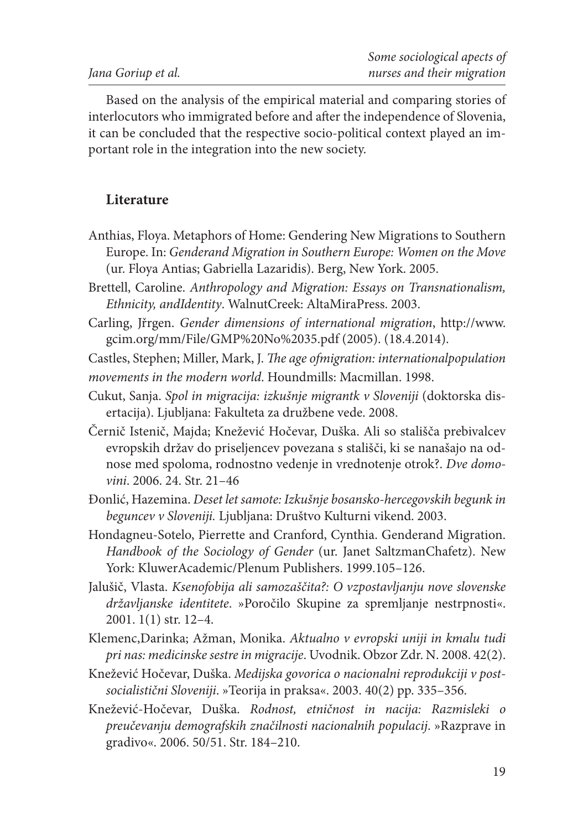Based on the analysis of the empirical material and comparing stories of interlocutors who immigrated before and after the independence of Slovenia, it can be concluded that the respective socio-political context played an important role in the integration into the new society.

# **Literature**

- Anthias, Floya. Metaphors of Home: Gendering New Migrations to Southern Europe. In: *Genderand Migration in Southern Europe: Women on the Move*  (ur. Floya Antias; Gabriella Lazaridis). Berg, New York. 2005.
- Brettell, Caroline. *Anthropology and Migration: Essays on Transnationalism, Ethnicity, andIdentity*. WalnutCreek: AltaMiraPress. 2003.
- Carling, Jřrgen. *Gender dimensions of international migration*, http://www. gcim.org/mm/File/GMP%20No%2035.pdf (2005). (18.4.2014).
- Castles, Stephen; Miller, Mark, J. *The age ofmigration: internationalpopulation movements in the modern world*. Houndmills: Macmillan. 1998.
- Cukut, Sanja. *Spol in migracija: izkušnje migrantk v Sloveniji* (doktorska disertacija). Ljubljana: Fakulteta za družbene vede. 2008.
- Černič Istenič, Majda; Knežević Hočevar, Duška. Ali so stališča prebivalcev evropskih držav do priseljencev povezana s stališči, ki se nanašajo na odnose med spoloma, rodnostno vedenje in vrednotenje otrok?. *Dve domovini*. 2006. 24. Str. 21–46
- Đonlić, Hazemina. *Deset let samote: Izkušnje bosansko-hercegovskih begunk in beguncev v Sloveniji.* Ljubljana: Društvo Kulturni vikend. 2003.
- Hondagneu-Sotelo, Pierrette and Cranford, Cynthia. Genderand Migration. *Handbook of the Sociology of Gender* (ur. Janet SaltzmanChafetz). New York: KluwerAcademic/Plenum Publishers. 1999.105–126.
- Jalušič, Vlasta. *Ksenofobija ali samozaščita?: O vzpostavljanju nove slovenske državljanske identitete*. »Poročilo Skupine za spremljanje nestrpnosti«. 2001. 1(1) str. 12–4.
- Klemenc,Darinka; Ažman, Monika. *Aktualno v evropski uniji in kmalu tudi pri nas: medicinske sestre in migracije*. Uvodnik. Obzor Zdr. N. 2008. 42(2).
- Knežević Hočevar, Duška. *Medijska govorica o nacionalni reprodukciji v postsocialistični Sloveniji*. »Teorija in praksa«. 2003. 40(2) pp. 335–356.
- Knežević-Hočevar, Duška. *Rodnost, etničnost in nacija: Razmisleki o preučevanju demografskih značilnosti nacionalnih populacij*. »Razprave in gradivo«. 2006. 50/51. Str. 184–210.